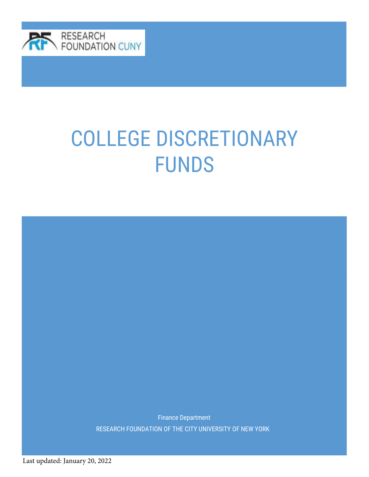

Finance Department RESEARCH FOUNDATION OF THE CITY UNIVERSITY OF NEW YORK

Last updated: January 20, 2022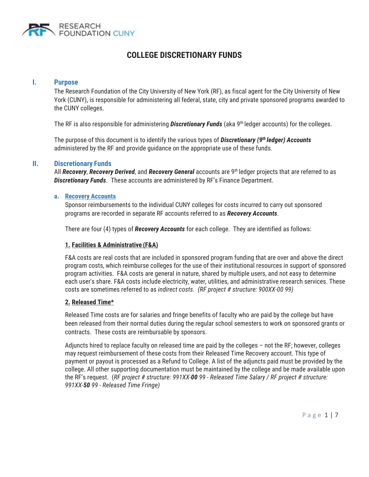

#### **I. Purpose**

The Research Foundation of the City University of New York (RF), as fiscal agent for the City University of New York (CUNY), is responsible for administering all federal, state, city and private sponsored programs awarded to the CUNY colleges.

The RF is also responsible for administering *Discretionary Funds* (aka 9th ledger accounts) for the colleges.

The purpose of this document is to identify the various types of *Discretionary (9th ledger) Accounts*  administered by the RF and provide guidance on the appropriate use of these funds.

#### **II. Discretionary Funds**

All *Recovery*, *Recovery Derived*, and *Recovery General* accounts are 9th ledger projects that are referred to as *Discretionary Funds*. These accounts are administered by RF's Finance Department.

#### **a. Recovery Accounts**

Sponsor reimbursements to the individual CUNY colleges for costs incurred to carry out sponsored programs are recorded in separate RF accounts referred to as *Recovery Accounts*.

There are four (4) types of *Recovery Accounts* for each college. They are identified as follows:

#### **1. Facilities & Administrative (F&A)**

F&A costs are real costs that are included in sponsored program funding that are over and above the direct program costs, which reimburse colleges for the use of their institutional resources in support of sponsored program activities. F&A costs are general in nature, shared by multiple users, and not easy to determine each user's share. F&A costs include electricity, water, utilities, and administrative research services. These costs are sometimes referred to as *indirect costs. (RF project # structure: 900XX-00 99)* 

#### **2. Released Time\***

Released Time costs are for salaries and fringe benefits of faculty who are paid by the college but have been released from their normal duties during the regular school semesters to work on sponsored grants or contracts. These costs are reimbursable by sponsors.

Adjuncts hired to replace faculty on released time are paid by the colleges – not the RF; however, colleges may request reimbursement of these costs from their Released Time Recovery account. This type of payment or payout is processed as a Refund to College. A list of the adjuncts paid must be provided by the college. All other supporting documentation must be maintained by the college and be made available upon the RF's request. (*RF project # structure: 991XX-00 99 - Released Time Salary / RF project # structure: 991XX-50 99 - Released Time Fringe)*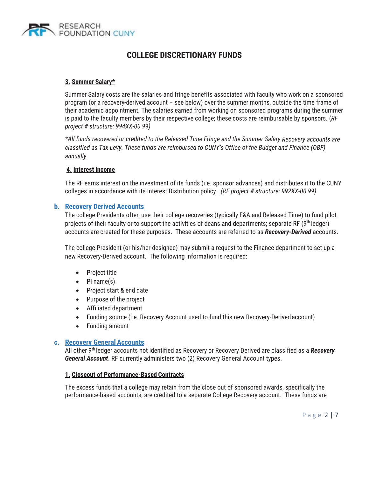

#### **3. Summer Salary\***

Summer Salary costs are the salaries and fringe benefits associated with faculty who work on a sponsored program (or a recovery-derived account – see below) over the summer months, outside the time frame of their academic appointment. The salaries earned from working on sponsored programs during the summer is paid to the faculty members by their respective college; these costs are reimbursable by sponsors. (*RF project # structure: 994XX-00 99)* 

*\*All funds recovered or credited to the Released Time Fringe and the Summer Salary Recovery accounts are classified as Tax Levy. These funds are reimbursed to CUNY's Office of the Budget and Finance (OBF) annually.*

#### **4. Interest Income**

The RF earns interest on the investment of its funds (i.e. sponsor advances) and distributes it to the CUNY colleges in accordance with its Interest Distribution policy. *(RF project # structure: 992XX-00 99)* 

#### **b. Recovery Derived Accounts**

The college Presidents often use their college recoveries (typically F&A and Released Time) to fund pilot projects of their faculty or to support the activities of deans and departments; separate RF (9th ledger) accounts are created for these purposes. These accounts are referred to as *Recovery-Derived* accounts.

The college President (or his/her designee) may submit a request to the Finance department to set up a new Recovery-Derived account. The following information is required:

- Project title
- $\bullet$  PI name(s)
- Project start & end date
- Purpose of the project
- Affiliated department
- Funding source (i.e. Recovery Account used to fund this new Recovery-Derived account)
- $\bullet$  Funding amount

#### **c. Recovery General Accounts**

All other 9th ledger accounts not identified as Recovery or Recovery Derived are classified as a *Recovery General Account*. RF currently administers two (2) Recovery General Account types.

#### **1. Closeout of Performance-Based Contracts**

The excess funds that a college may retain from the close out of sponsored awards, specifically the performance-based accounts, are credited to a separate College Recovery account. These funds are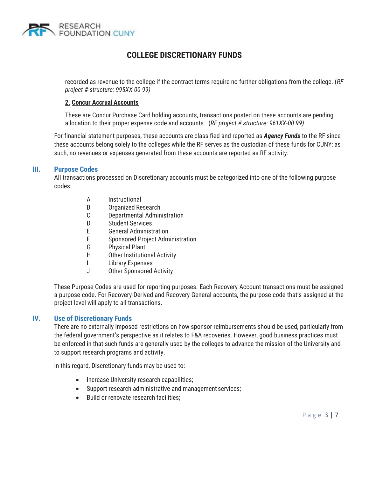

recorded as revenue to the college if the contract terms require no further obligations from the college. (*RF project # structure: 995XX-00 99)* 

#### **2. Concur Accrual Accounts**

These are Concur Purchase Card holding accounts, transactions posted on these accounts are pending allocation to their proper expense code and accounts. (*RF project # structure: 961XX-00 99)* 

For financial statement purposes, these accounts are classified and reported as *Agency Funds* to the RF since these accounts belong solely to the colleges while the RF serves as the custodian of these funds for CUNY; as such, no revenues or expenses generated from these accounts are reported as RF activity.

#### **III. Purpose Codes**

All transactions processed on Discretionary accounts must be categorized into one of the following purpose codes:

- A Instructional
- B Organized Research
- C Departmental Administration
- D Student Services
- E General Administration
- F Sponsored Project Administration
- G Physical Plant
- H Other Institutional Activity
- I Library Expenses
- J Other Sponsored Activity

These Purpose Codes are used for reporting purposes. Each Recovery Account transactions must be assigned a purpose code. For Recovery-Derived and Recovery-General accounts, the purpose code that's assigned at the project level will apply to all transactions.

#### **IV. Use of Discretionary Funds**

There are no externally imposed restrictions on how sponsor reimbursements should be used, particularly from the federal government's perspective as it relates to F&A recoveries. However, good business practices must be enforced in that such funds are generally used by the colleges to advance the mission of the University and to support research programs and activity.

In this regard, Discretionary funds may be used to:

- Increase University research capabilities;
- Support research administrative and management services;
- Build or renovate research facilities: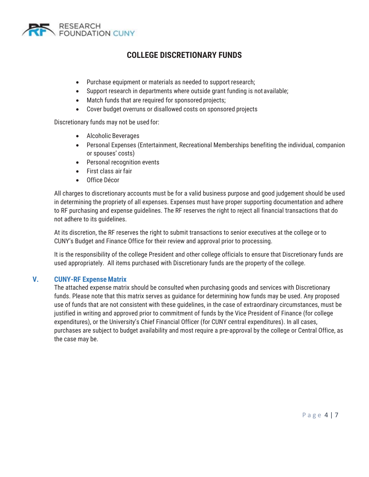

- Purchase equipment or materials as needed to support research;
- Support research in departments where outside grant funding is not available;
- Match funds that are required for sponsored projects;
- Cover budget overruns or disallowed costs on sponsored projects

Discretionary funds may not be used for:

- Alcoholic Beverages
- Personal Expenses (Entertainment, Recreational Memberships benefiting the individual, companion or spouses' costs)
- $\bullet$  Personal recognition events
- $\bullet$  First class air fair
- Office Décor

All charges to discretionary accounts must be for a valid business purpose and good judgement should be used in determining the propriety of all expenses. Expenses must have proper supporting documentation and adhere to RF purchasing and expense guidelines. The RF reserves the right to reject all financial transactions that do not adhere to its guidelines.

At its discretion, the RF reserves the right to submit transactions to senior executives at the college or to CUNY's Budget and Finance Office for their review and approval prior to processing.

It is the responsibility of the college President and other college officials to ensure that Discretionary funds are used appropriately. All items purchased with Discretionary funds are the property of the college.

#### **V. CUNY-RF Expense Matrix**

The attached expense matrix should be consulted when purchasing goods and services with Discretionary funds. Please note that this matrix serves as guidance for determining how funds may be used. Any proposed use of funds that are not consistent with these guidelines, in the case of extraordinary circumstances, must be justified in writing and approved prior to commitment of funds by the Vice President of Finance (for college expenditures), or the University's Chief Financial Officer (for CUNY central expenditures). In all cases, purchases are subject to budget availability and most require a pre-approval by the college or Central Office, as the case may be.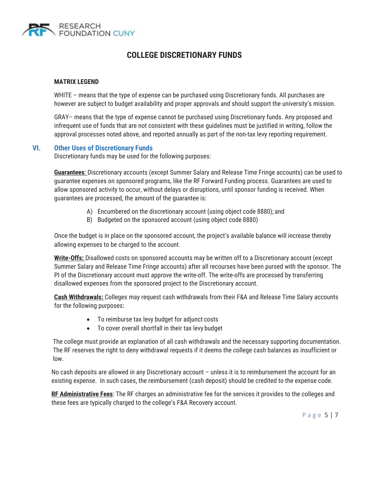

#### **MATRIX LEGEND**

WHITE – means that the type of expense can be purchased using Discretionary funds. All purchases are however are subject to budget availability and proper approvals and should support the university's mission.

GRAY– means that the type of expense cannot be purchased using Discretionary funds. Any proposed and infrequent use of funds that are not consistent with these guidelines must be justified in writing, follow the approval processes noted above, and reported annually as part of the non-tax levy reporting requirement.

#### **VI. Other Uses of Discretionary Funds**

Discretionary funds may be used for the following purposes:

**Guarantees**: Discretionary accounts (except Summer Salary and Release Time Fringe accounts) can be used to guarantee expenses on sponsored programs, like the RF Forward Funding process. Guarantees are used to allow sponsored activity to occur, without delays or disruptions, until sponsor funding is received. When guarantees are processed, the amount of the guarantee is:

- A) Encumbered on the discretionary account (using object code 8880); and
- B) Budgeted on the sponsored account (using object code 8880)

Once the budget is in place on the sponsored account, the project's available balance will increase thereby allowing expenses to be charged to the account.

**Write-Offs:** Disallowed costs on sponsored accounts may be written off to a Discretionary account (except Summer Salary and Release Time Fringe accounts) after all recourses have been pursed with the sponsor. The PI of the Discretionary account must approve the write-off. The write-offs are processed by transferring disallowed expenses from the sponsored project to the Discretionary account.

**Cash Withdrawals:** Colleges may request cash withdrawals from their F&A and Release Time Salary accounts for the following purposes:

- To reimburse tax levy budget for adjunct costs
- $\bullet$  To cover overall shortfall in their tax levy budget

The college must provide an explanation of all cash withdrawals and the necessary supporting documentation. The RF reserves the right to deny withdrawal requests if it deems the college cash balances as insufficient or low.

No cash deposits are allowed in any Discretionary account – unless it is to reimbursement the account for an existing expense. In such cases, the reimbursement (cash deposit) should be credited to the expense code.

**RF Administrative Fees**: The RF charges an administrative fee for the services it provides to the colleges and these fees are typically charged to the college's F&A Recovery account.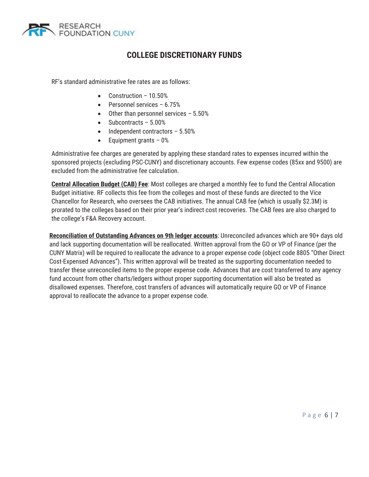

RF's standard administrative fee rates are as follows:

- $\bullet$  Construction 10.50%
- $\bullet$  Personnel services 6.75%
- $\bullet$  Other than personnel services 5.50%
- Subcontracts  $-5.00\%$
- $\bullet$  Independent contractors 5.50%
- $\bullet$  Equipment grants 0%

Administrative fee charges are generated by applying these standard rates to expenses incurred within the sponsored projects (excluding PSC-CUNY) and discretionary accounts. Few expense codes (85xx and 9500) are excluded from the administrative fee calculation.

**Central Allocation Budget (CAB) Fee**: Most colleges are charged a monthly fee to fund the Central Allocation Budget initiative. RF collects this fee from the colleges and most of these funds are directed to the Vice Chancellor for Research, who oversees the CAB initiatives. The annual CAB fee (which is usually \$2.3M) is prorated to the colleges based on their prior year's indirect cost recoveries. The CAB fees are also charged to the college's F&A Recovery account.

**Reconciliation of Outstanding Advances on 9th ledger accounts**: Unreconciled advances which are 90+ days old and lack supporting documentation will be reallocated. Written approval from the GO or VP of Finance (per the CUNY Matrix) will be required to reallocate the advance to a proper expense code (object code 8805 "Other Direct Cost-Expensed Advances"). This written approval will be treated as the supporting documentation needed to transfer these unreconciled items to the proper expense code. Advances that are cost transferred to any agency fund account from other charts/ledgers without proper supporting documentation will also be treated as disallowed expenses. Therefore, cost transfers of advances will automatically require GO or VP of Finance approval to reallocate the advance to a proper expense code.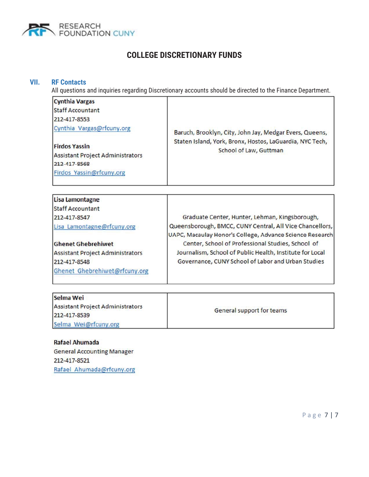

#### **VII. RF Contacts** All questions and inquiries regarding Discretionary accounts should be directed to the Finance Department. **Cynthia Vargas Staff Accountant** 212-417-8553 Cynthia Vargas@rfcuny.org Baruch, Brooklyn, City, John Jay, Medgar Evers, Queens, Staten Island, York, Bronx, Hostos, LaGuardia, NYC Tech, **Firdos Yassin** School of Law, Guttman **Assistant Project Administrators** 212-417-8568 Firdos Yassin@rfcuny.org Lisa Lamontagne **Staff Accountant** 212-417-8547 Graduate Center, Hunter, Lehman, Kingsborough, Queensborough, BMCC, CUNY Central, All Vice Chancellors, Lisa Lamontagne@rfcuny.org UAPC, Macaulay Honor's College, Advance Science Research **Ghenet Ghebrehiwet** Center, School of Professional Studies, School of Journalism, School of Public Health, Institute for Local **Assistant Project Administrators** 212-417-8548 Governance, CUNY School of Labor and Urban Studies Ghenet Ghebrehiwet@rfcuny.org

| Selma Wei                               |                           |
|-----------------------------------------|---------------------------|
| <b>Assistant Project Administrators</b> | General support for teams |
| 212-417-8539                            |                           |
| Selma Wei@rfcuny.org                    |                           |

Rafael Ahumada **General Accounting Manager** 212-417-8521 Rafael Ahumada@rfcuny.org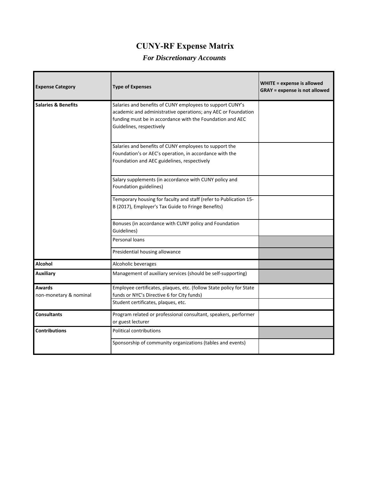| <b>Expense Category</b>          | <b>Type of Expenses</b>                                                                                                                                                                                             | WHITE = expense is allowed<br><b>GRAY</b> = expense is not allowed |
|----------------------------------|---------------------------------------------------------------------------------------------------------------------------------------------------------------------------------------------------------------------|--------------------------------------------------------------------|
| <b>Salaries &amp; Benefits</b>   | Salaries and benefits of CUNY employees to support CUNY's<br>academic and administrative operations; any AEC or Foundation<br>funding must be in accordance with the Foundation and AEC<br>Guidelines, respectively |                                                                    |
|                                  | Salaries and benefits of CUNY employees to support the<br>Foundation's or AEC's operation, in accordance with the<br>Foundation and AEC guidelines, respectively                                                    |                                                                    |
|                                  | Salary supplements (in accordance with CUNY policy and<br>Foundation guidelines)                                                                                                                                    |                                                                    |
|                                  | Temporary housing for faculty and staff (refer to Publication 15-<br>B (2017), Employer's Tax Guide to Fringe Benefits)                                                                                             |                                                                    |
|                                  | Bonuses (in accordance with CUNY policy and Foundation<br>Guidelines)                                                                                                                                               |                                                                    |
|                                  | Personal loans<br>Presidential housing allowance                                                                                                                                                                    |                                                                    |
| Alcohol                          | Alcoholic beverages                                                                                                                                                                                                 |                                                                    |
| <b>Auxiliary</b>                 | Management of auxiliary services (should be self-supporting)                                                                                                                                                        |                                                                    |
| Awards<br>non-monetary & nominal | Employee certificates, plaques, etc. (follow State policy for State<br>funds or NYC's Directive 6 for City funds)<br>Student certificates, plaques, etc.                                                            |                                                                    |
| <b>Consultants</b>               | Program related or professional consultant, speakers, performer<br>or guest lecturer                                                                                                                                |                                                                    |
| <b>Contributions</b>             | Political contributions                                                                                                                                                                                             |                                                                    |
|                                  | Sponsorship of community organizations (tables and events)                                                                                                                                                          |                                                                    |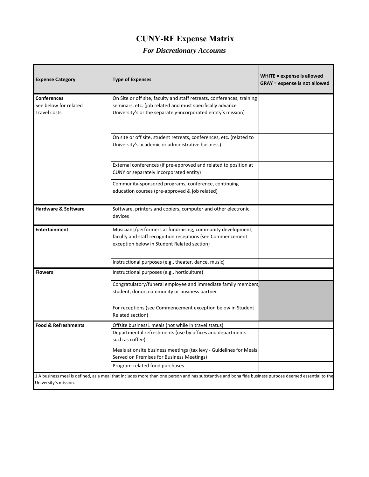| <b>Expense Category</b>                                            | <b>Type of Expenses</b>                                                                                                                                                                              | WHITE = expense is allowed<br><b>GRAY</b> = expense is not allowed |
|--------------------------------------------------------------------|------------------------------------------------------------------------------------------------------------------------------------------------------------------------------------------------------|--------------------------------------------------------------------|
| <b>Conferences</b><br>See below for related<br><b>Travel costs</b> | On Site or off site, faculty and staff retreats, conferences, training<br>seminars, etc. (job related and must specifically advance<br>University's or the separately-incorporated entity's mission) |                                                                    |
|                                                                    | On site or off site, student retreats, conferences, etc. (related to<br>University's academic or administrative business)                                                                            |                                                                    |
|                                                                    | External conferences (if pre-approved and related to position at<br>CUNY or separately incorporated entity)                                                                                          |                                                                    |
|                                                                    | Community-sponsored programs, conference, continuing<br>education courses (pre-approved & job related)                                                                                               |                                                                    |
| <b>Hardware &amp; Software</b>                                     | Software, printers and copiers, computer and other electronic<br>devices                                                                                                                             |                                                                    |
| <b>Entertainment</b>                                               | Musicians/performers at fundraising, community development,<br>faculty and staff recognition receptions (see Commencement<br>exception below in Student Related section)                             |                                                                    |
|                                                                    | Instructional purposes (e.g., theater, dance, music)                                                                                                                                                 |                                                                    |
| <b>Flowers</b>                                                     | Instructional purposes (e.g., horticulture)                                                                                                                                                          |                                                                    |
|                                                                    | Congratulatory/funeral employee and immediate family members<br>student, donor, community or business partner                                                                                        |                                                                    |
|                                                                    | For receptions (see Commencement exception below in Student<br>Related section)                                                                                                                      |                                                                    |
| <b>Food &amp; Refreshments</b>                                     | Offsite business1 meals (not while in travel status)                                                                                                                                                 |                                                                    |
|                                                                    | Departmental refreshments (use by offices and departments<br>such as coffee)                                                                                                                         |                                                                    |
|                                                                    | Meals at onsite business meetings (tax levy - Guidelines for Meals<br>Served on Premises for Business Meetings)                                                                                      |                                                                    |
|                                                                    | Program-related food purchases                                                                                                                                                                       |                                                                    |
| University's mission.                                              | 1 A business meal is defined, as a meal that includes more than one person and has substantive and bona fide business purpose deemed essential to the                                                |                                                                    |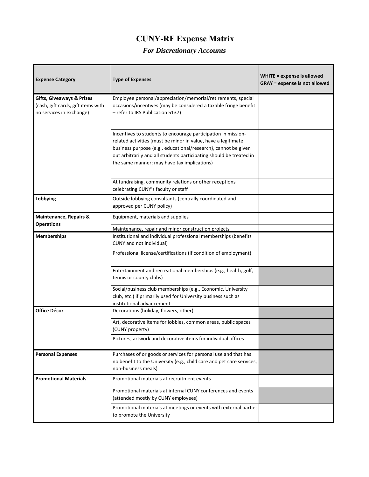| <b>Expense Category</b>                                                                                | <b>Type of Expenses</b>                                                                                                                                                                                                                                                                                                | <b>WHITE = expense is allowed</b><br><b>GRAY</b> = expense is not allowed |
|--------------------------------------------------------------------------------------------------------|------------------------------------------------------------------------------------------------------------------------------------------------------------------------------------------------------------------------------------------------------------------------------------------------------------------------|---------------------------------------------------------------------------|
| <b>Gifts, Giveaways &amp; Prizes</b><br>(cash, gift cards, gift items with<br>no services in exchange) | Employee personal/appreciation/memorial/retirements, special<br>occasions/incentives (may be considered a taxable fringe benefit<br>- refer to IRS Publication 5137)                                                                                                                                                   |                                                                           |
|                                                                                                        | Incentives to students to encourage participation in mission-<br>related activities (must be minor in value, have a legitimate<br>business purpose {e.g., educational/research}, cannot be given<br>out arbitrarily and all students participating should be treated in<br>the same manner; may have tax implications) |                                                                           |
|                                                                                                        | At fundraising, community relations or other receptions<br>celebrating CUNY's faculty or staff                                                                                                                                                                                                                         |                                                                           |
| Lobbying                                                                                               | Outside lobbying consultants (centrally coordinated and<br>approved per CUNY policy)                                                                                                                                                                                                                                   |                                                                           |
| Maintenance, Repairs &<br><b>Operations</b>                                                            | Equipment, materials and supplies                                                                                                                                                                                                                                                                                      |                                                                           |
|                                                                                                        | Maintenance, repair and minor construction projects                                                                                                                                                                                                                                                                    |                                                                           |
| <b>Memberships</b>                                                                                     | Institutional and individual professional memberships (benefits<br>CUNY and not individual)                                                                                                                                                                                                                            |                                                                           |
|                                                                                                        | Professional license/certifications (if condition of employment)                                                                                                                                                                                                                                                       |                                                                           |
|                                                                                                        | Entertainment and recreational memberships (e.g., health, golf,<br>tennis or county clubs)                                                                                                                                                                                                                             |                                                                           |
|                                                                                                        | Social/business club memberships (e.g., Economic, University<br>club, etc.) if primarily used for University business such as<br>institutional advancement                                                                                                                                                             |                                                                           |
| Office Décor                                                                                           | Decorations (holiday, flowers, other)                                                                                                                                                                                                                                                                                  |                                                                           |
|                                                                                                        | Art, decorative items for lobbies, common areas, public spaces<br>(CUNY property)                                                                                                                                                                                                                                      |                                                                           |
|                                                                                                        | Pictures, artwork and decorative items for individual offices                                                                                                                                                                                                                                                          |                                                                           |
| <b>Personal Expenses</b>                                                                               | Purchases of or goods or services for personal use and that has<br>no benefit to the University (e.g., child care and pet care services,<br>non-business meals)                                                                                                                                                        |                                                                           |
| <b>Promotional Materials</b>                                                                           | Promotional materials at recruitment events                                                                                                                                                                                                                                                                            |                                                                           |
|                                                                                                        | Promotional materials at internal CUNY conferences and events<br>(attended mostly by CUNY employees)                                                                                                                                                                                                                   |                                                                           |
|                                                                                                        | Promotional materials at meetings or events with external parties<br>to promote the University                                                                                                                                                                                                                         |                                                                           |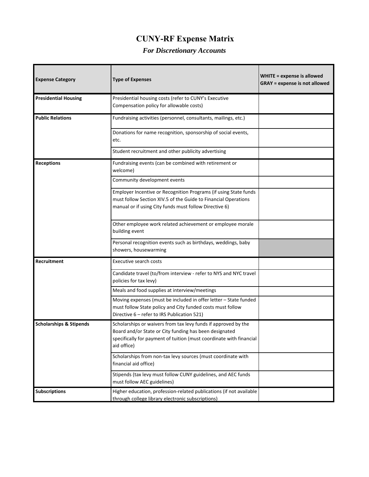| <b>Expense Category</b>            | <b>Type of Expenses</b>                                                                                                                                                                                        | WHITE = expense is allowed<br><b>GRAY</b> = expense is not allowed |
|------------------------------------|----------------------------------------------------------------------------------------------------------------------------------------------------------------------------------------------------------------|--------------------------------------------------------------------|
| <b>Presidential Housing</b>        | Presidential housing costs (refer to CUNY's Executive<br>Compensation policy for allowable costs)                                                                                                              |                                                                    |
| <b>Public Relations</b>            | Fundraising activities (personnel, consultants, mailings, etc.)                                                                                                                                                |                                                                    |
|                                    | Donations for name recognition, sponsorship of social events,<br>etc.                                                                                                                                          |                                                                    |
|                                    | Student recruitment and other publicity advertising                                                                                                                                                            |                                                                    |
| <b>Receptions</b>                  | Fundraising events (can be combined with retirement or<br>welcome)                                                                                                                                             |                                                                    |
|                                    | Community development events                                                                                                                                                                                   |                                                                    |
|                                    | Employer Incentive or Recognition Programs (if using State funds<br>must follow Section XIV.5 of the Guide to Financial Operations<br>manual or if using City funds must follow Directive 6)                   |                                                                    |
|                                    | Other employee work related achievement or employee morale<br>building event                                                                                                                                   |                                                                    |
|                                    | Personal recognition events such as birthdays, weddings, baby<br>showers, housewarming                                                                                                                         |                                                                    |
| Recruitment                        | <b>Executive search costs</b>                                                                                                                                                                                  |                                                                    |
|                                    | Candidate travel (to/from interview - refer to NYS and NYC travel<br>policies for tax levy)                                                                                                                    |                                                                    |
|                                    | Meals and food supplies at interview/meetings                                                                                                                                                                  |                                                                    |
|                                    | Moving expenses (must be included in offer letter - State funded<br>must follow State policy and City funded costs must follow<br>Directive 6 - refer to IRS Publication 521)                                  |                                                                    |
| <b>Scholarships &amp; Stipends</b> | Scholarships or waivers from tax levy funds if approved by the<br>Board and/or State or City funding has been designated<br>specifically for payment of tuition (must coordinate with financial<br>aid office) |                                                                    |
|                                    | Scholarships from non-tax levy sources (must coordinate with<br>financial aid office)                                                                                                                          |                                                                    |
|                                    | Stipends (tax levy must follow CUNY guidelines, and AEC funds<br>must follow AEC guidelines)                                                                                                                   |                                                                    |
| <b>Subscriptions</b>               | Higher education, profession-related publications (if not available<br>through college library electronic subscriptions)                                                                                       |                                                                    |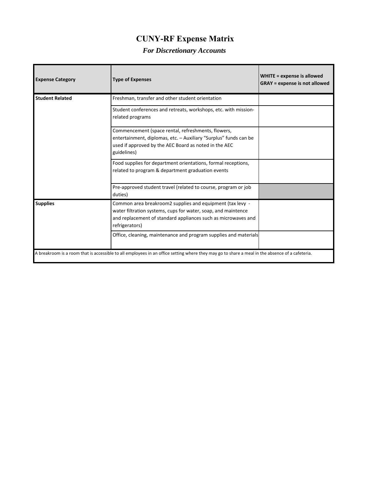| <b>Expense Category</b>                                                                                                                         | <b>Type of Expenses</b>                                                                                                                                                                                       | WHITE = expense is allowed<br><b>GRAY</b> = expense is not allowed |
|-------------------------------------------------------------------------------------------------------------------------------------------------|---------------------------------------------------------------------------------------------------------------------------------------------------------------------------------------------------------------|--------------------------------------------------------------------|
| <b>Student Related</b>                                                                                                                          | Freshman, transfer and other student orientation                                                                                                                                                              |                                                                    |
|                                                                                                                                                 | Student conferences and retreats, workshops, etc. with mission-<br>related programs                                                                                                                           |                                                                    |
|                                                                                                                                                 | Commencement (space rental, refreshments, flowers,<br>entertainment, diplomas, etc. - Auxiliary "Surplus" funds can be<br>used if approved by the AEC Board as noted in the AEC<br>guidelines)                |                                                                    |
|                                                                                                                                                 | Food supplies for department orientations, formal receptions,<br>related to program & department graduation events                                                                                            |                                                                    |
|                                                                                                                                                 | Pre-approved student travel (related to course, program or job<br>duties)                                                                                                                                     |                                                                    |
| <b>Supplies</b>                                                                                                                                 | Common area breakroom2 supplies and equipment (tax levy -<br>water filtration systems, cups for water, soap, and maintence<br>and replacement of standard appliances such as microwaves and<br>refrigerators) |                                                                    |
|                                                                                                                                                 | Office, cleaning, maintenance and program supplies and materials                                                                                                                                              |                                                                    |
| A breakroom is a room that is accessible to all employees in an office setting where they may go to share a meal in the absence of a cafeteria. |                                                                                                                                                                                                               |                                                                    |